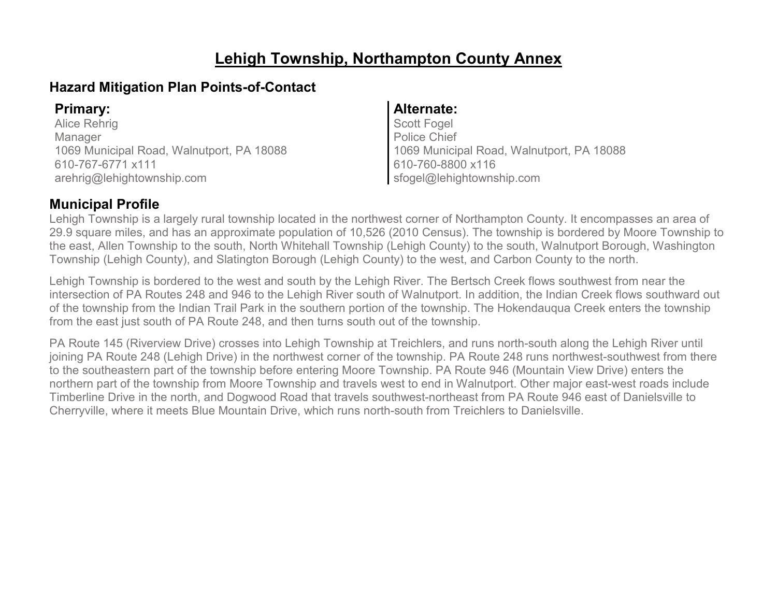# **Lehigh Township, Northampton County Annex**

### **Hazard Mitigation Plan Points-of-Contact**

Alice Rehrig Manager 1069 Municipal Road, Walnutport, PA 18088 610-767-6771 x111 arehrig@lehightownship.com

### **Primary: Alternate:**

Scott Fogel Police Chief 1069 Municipal Road, Walnutport, PA 18088 610-760-8800 x116 sfogel@lehightownship.com

### **Municipal Profile**

Lehigh Township is a largely rural township located in the northwest corner of Northampton County. It encompasses an area of 29.9 square miles, and has an approximate population of 10,526 (2010 Census). The township is bordered by Moore Township to the east, Allen Township to the south, North Whitehall Township (Lehigh County) to the south, Walnutport Borough, Washington Township (Lehigh County), and Slatington Borough (Lehigh County) to the west, and Carbon County to the north.

Lehigh Township is bordered to the west and south by the Lehigh River. The Bertsch Creek flows southwest from near the intersection of PA Routes 248 and 946 to the Lehigh River south of Walnutport. In addition, the Indian Creek flows southward out of the township from the Indian Trail Park in the southern portion of the township. The Hokendauqua Creek enters the township from the east just south of PA Route 248, and then turns south out of the township.

PA Route 145 (Riverview Drive) crosses into Lehigh Township at Treichlers, and runs north-south along the Lehigh River until joining PA Route 248 (Lehigh Drive) in the northwest corner of the township. PA Route 248 runs northwest-southwest from there to the southeastern part of the township before entering Moore Township. PA Route 946 (Mountain View Drive) enters the northern part of the township from Moore Township and travels west to end in Walnutport. Other major east-west roads include Timberline Drive in the north, and Dogwood Road that travels southwest-northeast from PA Route 946 east of Danielsville to Cherryville, where it meets Blue Mountain Drive, which runs north-south from Treichlers to Danielsville.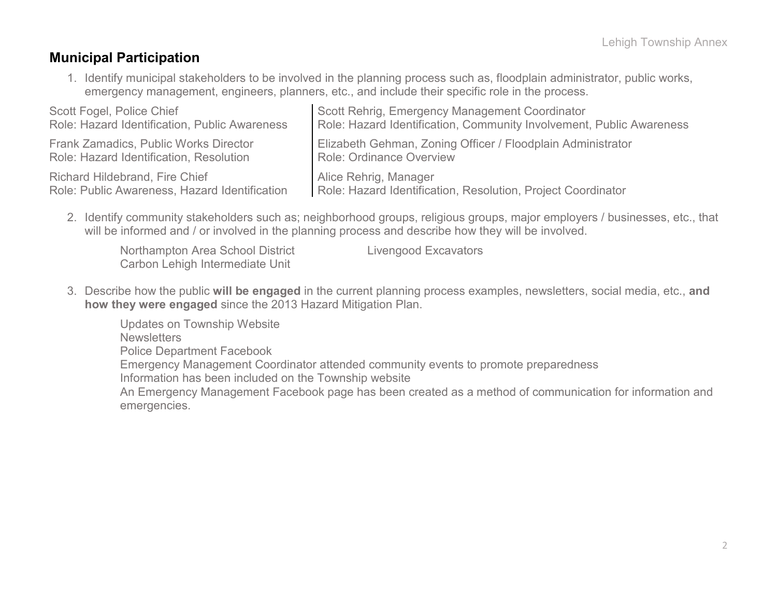### **Municipal Participation**

1. Identify municipal stakeholders to be involved in the planning process such as, floodplain administrator, public works, emergency management, engineers, planners, etc., and include their specific role in the process.

| Scott Fogel, Police Chief                     | Scott Rehrig, Emergency Management Coordinator                       |
|-----------------------------------------------|----------------------------------------------------------------------|
| Role: Hazard Identification, Public Awareness | Role: Hazard Identification, Community Involvement, Public Awareness |
| <b>Frank Zamadics, Public Works Director</b>  | Elizabeth Gehman, Zoning Officer / Floodplain Administrator          |
| Role: Hazard Identification, Resolution       | Role: Ordinance Overview                                             |
| <b>Richard Hildebrand, Fire Chief</b>         | Alice Rehrig, Manager                                                |
| Role: Public Awareness, Hazard Identification | Role: Hazard Identification, Resolution, Project Coordinator         |

2. Identify community stakeholders such as; neighborhood groups, religious groups, major employers / businesses, etc., that will be informed and / or involved in the planning process and describe how they will be involved.

| Northampton Area School District | <b>Livengood Excavators</b> |
|----------------------------------|-----------------------------|
| Carbon Lehigh Intermediate Unit  |                             |

3. Describe how the public **will be engaged** in the current planning process examples, newsletters, social media, etc., **and how they were engaged** since the 2013 Hazard Mitigation Plan.

Updates on Township Website **Newsletters** Police Department Facebook Emergency Management Coordinator attended community events to promote preparedness Information has been included on the Township website An Emergency Management Facebook page has been created as a method of communication for information and emergencies.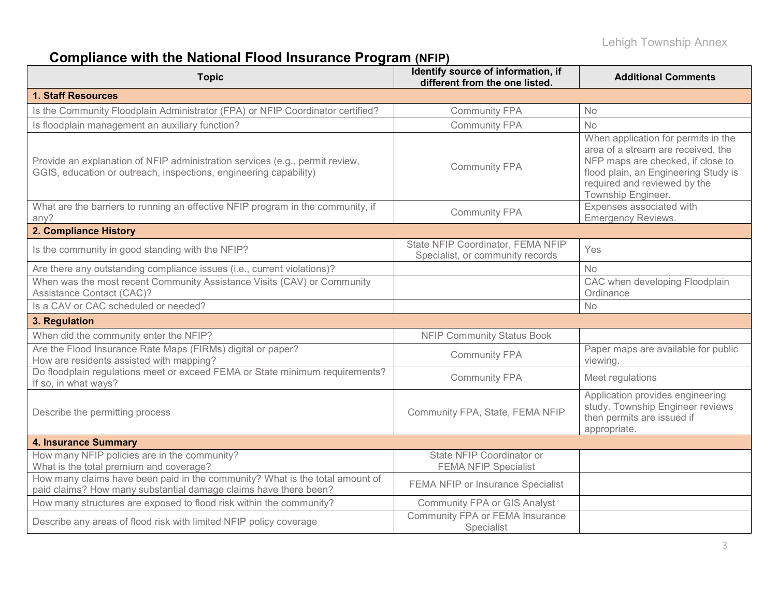# **Compliance with the National Flood Insurance Program (NFIP)**

| <b>Topic</b>                                                                                                                                      | Identify source of information, if<br>different from the one listed.  | <b>Additional Comments</b>                                                                                                                                                                                   |
|---------------------------------------------------------------------------------------------------------------------------------------------------|-----------------------------------------------------------------------|--------------------------------------------------------------------------------------------------------------------------------------------------------------------------------------------------------------|
| <b>1. Staff Resources</b>                                                                                                                         |                                                                       |                                                                                                                                                                                                              |
| Is the Community Floodplain Administrator (FPA) or NFIP Coordinator certified?                                                                    | <b>Community FPA</b>                                                  | No                                                                                                                                                                                                           |
| Is floodplain management an auxiliary function?                                                                                                   | <b>Community FPA</b>                                                  | No                                                                                                                                                                                                           |
| Provide an explanation of NFIP administration services (e.g., permit review,<br>GGIS, education or outreach, inspections, engineering capability) | <b>Community FPA</b>                                                  | When application for permits in the<br>area of a stream are received, the<br>NFP maps are checked, if close to<br>flood plain, an Engineering Study is<br>required and reviewed by the<br>Township Engineer. |
| What are the barriers to running an effective NFIP program in the community, if<br>any?                                                           | <b>Community FPA</b>                                                  | Expenses associated with<br><b>Emergency Reviews.</b>                                                                                                                                                        |
| 2. Compliance History                                                                                                                             |                                                                       |                                                                                                                                                                                                              |
| Is the community in good standing with the NFIP?                                                                                                  | State NFIP Coordinator, FEMA NFIP<br>Specialist, or community records | Yes                                                                                                                                                                                                          |
| Are there any outstanding compliance issues (i.e., current violations)?                                                                           |                                                                       | <b>No</b>                                                                                                                                                                                                    |
| When was the most recent Community Assistance Visits (CAV) or Community<br>Assistance Contact (CAC)?                                              |                                                                       | CAC when developing Floodplain<br>Ordinance                                                                                                                                                                  |
| Is a CAV or CAC scheduled or needed?                                                                                                              |                                                                       | <b>No</b>                                                                                                                                                                                                    |
| 3. Regulation                                                                                                                                     |                                                                       |                                                                                                                                                                                                              |
| When did the community enter the NFIP?                                                                                                            | <b>NFIP Community Status Book</b>                                     |                                                                                                                                                                                                              |
| Are the Flood Insurance Rate Maps (FIRMs) digital or paper?<br>How are residents assisted with mapping?                                           | <b>Community FPA</b>                                                  | Paper maps are available for public<br>viewing.                                                                                                                                                              |
| Do floodplain regulations meet or exceed FEMA or State minimum requirements?<br>If so, in what ways?                                              | <b>Community FPA</b>                                                  | Meet regulations                                                                                                                                                                                             |
| Describe the permitting process                                                                                                                   | Community FPA, State, FEMA NFIP                                       | Application provides engineering<br>study. Township Engineer reviews<br>then permits are issued if<br>appropriate.                                                                                           |
| <b>4. Insurance Summary</b>                                                                                                                       |                                                                       |                                                                                                                                                                                                              |
| How many NFIP policies are in the community?<br>What is the total premium and coverage?                                                           | State NFIP Coordinator or<br><b>FEMA NFIP Specialist</b>              |                                                                                                                                                                                                              |
| How many claims have been paid in the community? What is the total amount of<br>paid claims? How many substantial damage claims have there been?  | FEMA NFIP or Insurance Specialist                                     |                                                                                                                                                                                                              |
| How many structures are exposed to flood risk within the community?                                                                               | <b>Community FPA or GIS Analyst</b>                                   |                                                                                                                                                                                                              |
| Describe any areas of flood risk with limited NFIP policy coverage                                                                                | Community FPA or FEMA Insurance<br>Specialist                         |                                                                                                                                                                                                              |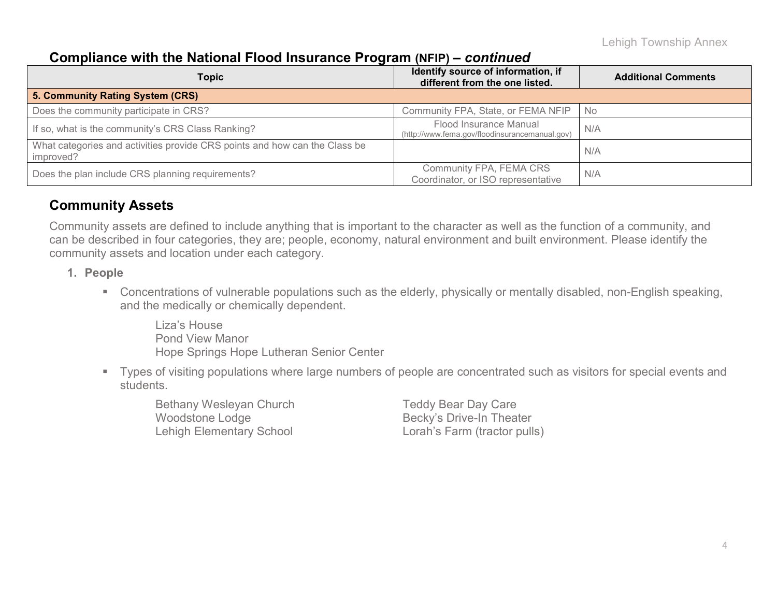### **Compliance with the National Flood Insurance Program (NFIP) –** *continued*

| <b>Topic</b>                                                                            | Identify source of information, if<br>different from the one listed.     | <b>Additional Comments</b> |
|-----------------------------------------------------------------------------------------|--------------------------------------------------------------------------|----------------------------|
| 5. Community Rating System (CRS)                                                        |                                                                          |                            |
| Does the community participate in CRS?                                                  | Community FPA, State, or FEMA NFIP                                       | - No                       |
| If so, what is the community's CRS Class Ranking?                                       | Flood Insurance Manual<br>(http://www.fema.gov/floodinsurancemanual.gov) | N/A                        |
| What categories and activities provide CRS points and how can the Class be<br>improved? |                                                                          | N/A                        |
| Does the plan include CRS planning requirements?                                        | Community FPA, FEMA CRS<br>Coordinator, or ISO representative            | N/A                        |

### **Community Assets**

Community assets are defined to include anything that is important to the character as well as the function of a community, and can be described in four categories, they are; people, economy, natural environment and built environment. Please identify the community assets and location under each category.

- **1. People**
	- Concentrations of vulnerable populations such as the elderly, physically or mentally disabled, non-English speaking, and the medically or chemically dependent.

Liza's House Pond View Manor Hope Springs Hope Lutheran Senior Center

 Types of visiting populations where large numbers of people are concentrated such as visitors for special events and students.

Bethany Wesleyan Church Teddy Bear Day Care Woodstone Lodge Becky's Drive-In Theater Lehigh Elementary School Lorah's Farm (tractor pulls)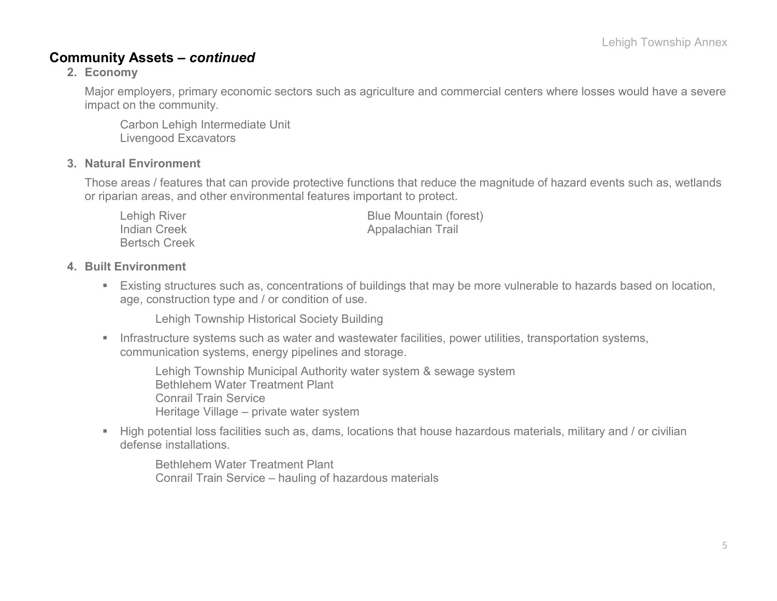### **Community Assets –** *continued*

#### **2. Economy**

Major employers, primary economic sectors such as agriculture and commercial centers where losses would have a severe impact on the community.

Carbon Lehigh Intermediate Unit Livengood Excavators

#### **3. Natural Environment**

Those areas / features that can provide protective functions that reduce the magnitude of hazard events such as, wetlands or riparian areas, and other environmental features important to protect.

| Lehigh River         | <b>Blue Mountain (forest)</b> |
|----------------------|-------------------------------|
| Indian Creek         | Appalachian Trail             |
| <b>Bertsch Creek</b> |                               |

#### **4. Built Environment**

 Existing structures such as, concentrations of buildings that may be more vulnerable to hazards based on location, age, construction type and / or condition of use.

Lehigh Township Historical Society Building

**Infrastructure systems such as water and wastewater facilities, power utilities, transportation systems,** communication systems, energy pipelines and storage.

Lehigh Township Municipal Authority water system & sewage system Bethlehem Water Treatment Plant Conrail Train Service Heritage Village – private water system

 High potential loss facilities such as, dams, locations that house hazardous materials, military and / or civilian defense installations.

Bethlehem Water Treatment Plant Conrail Train Service – hauling of hazardous materials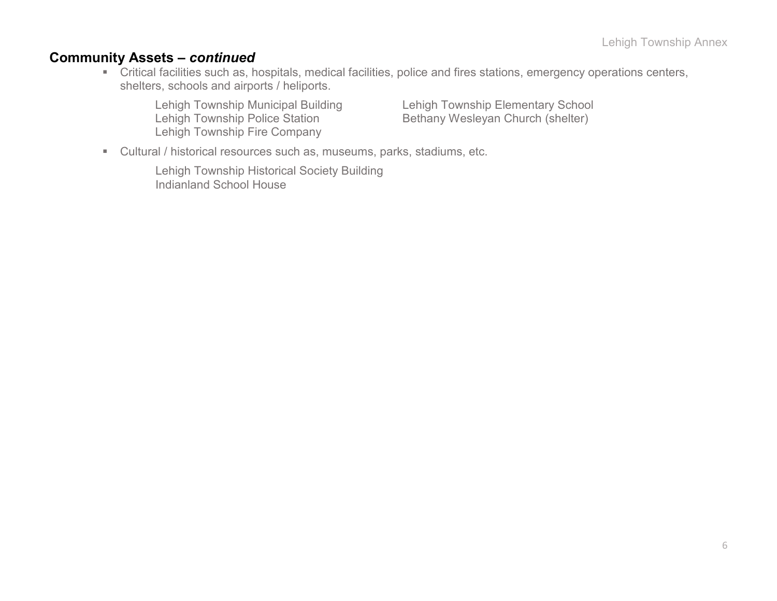### **Community Assets –** *continued*

 Critical facilities such as, hospitals, medical facilities, police and fires stations, emergency operations centers, shelters, schools and airports / heliports.

Lehigh Township Fire Company

Lehigh Township Municipal Building Lehigh Township Elementary School<br>Lehigh Township Police Station Lehigh Township Elementary School<br>Bethany Wesleyan Church (shelter) Bethany Wesleyan Church (shelter)

Cultural / historical resources such as, museums, parks, stadiums, etc.

Lehigh Township Historical Society Building Indianland School House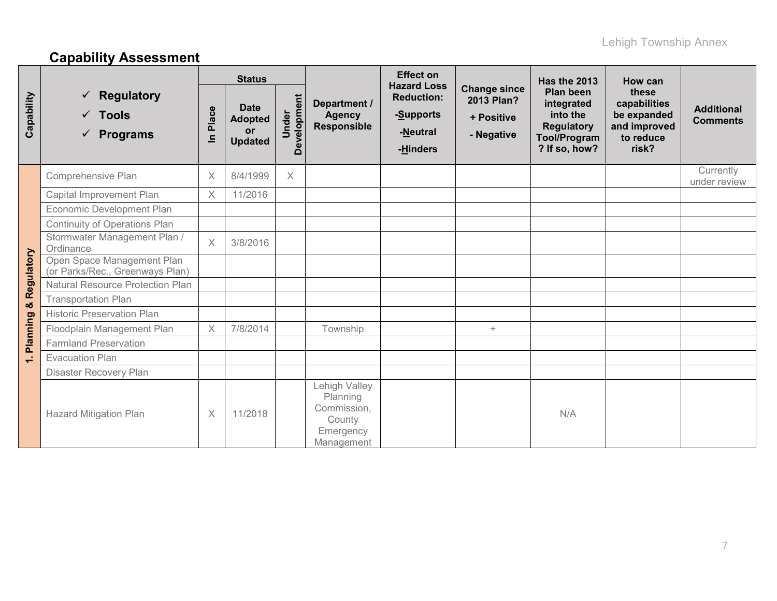# **Capability Assessment**

|                          |                                                                       | <b>Status</b>         |                                                              |                      |                                                                               | <b>Effect on</b><br><b>Hazard Loss</b>                 |                                                               | Has the 2013                                                                                     | How can                                                                    |                                      |
|--------------------------|-----------------------------------------------------------------------|-----------------------|--------------------------------------------------------------|----------------------|-------------------------------------------------------------------------------|--------------------------------------------------------|---------------------------------------------------------------|--------------------------------------------------------------------------------------------------|----------------------------------------------------------------------------|--------------------------------------|
| Capability               | <b>Regulatory</b><br>✓<br>$\checkmark$ Tools<br>$\checkmark$ Programs | Place<br>$\mathbf{a}$ | <b>Date</b><br><b>Adopted</b><br><b>or</b><br><b>Updated</b> | Development<br>Under | Department /<br><b>Agency</b><br><b>Responsible</b>                           | <b>Reduction:</b><br>-Supports<br>-Neutral<br>-Hinders | <b>Change since</b><br>2013 Plan?<br>+ Positive<br>- Negative | Plan been<br>integrated<br>into the<br><b>Regulatory</b><br><b>Tool/Program</b><br>? If so, how? | these<br>capabilities<br>be expanded<br>and improved<br>to reduce<br>risk? | <b>Additional</b><br><b>Comments</b> |
|                          | Comprehensive Plan                                                    | $\times$              | 8/4/1999                                                     | $\times$             |                                                                               |                                                        |                                                               |                                                                                                  |                                                                            | Currently<br>under review            |
|                          | Capital Improvement Plan                                              | X                     | 11/2016                                                      |                      |                                                                               |                                                        |                                                               |                                                                                                  |                                                                            |                                      |
|                          | Economic Development Plan                                             |                       |                                                              |                      |                                                                               |                                                        |                                                               |                                                                                                  |                                                                            |                                      |
|                          | Continuity of Operations Plan                                         |                       |                                                              |                      |                                                                               |                                                        |                                                               |                                                                                                  |                                                                            |                                      |
|                          | Stormwater Management Plan /<br>Ordinance                             | $\times$              | 3/8/2016                                                     |                      |                                                                               |                                                        |                                                               |                                                                                                  |                                                                            |                                      |
| & Regulatory             | Open Space Management Plan<br>(or Parks/Rec., Greenways Plan)         |                       |                                                              |                      |                                                                               |                                                        |                                                               |                                                                                                  |                                                                            |                                      |
|                          | <b>Natural Resource Protection Plan</b>                               |                       |                                                              |                      |                                                                               |                                                        |                                                               |                                                                                                  |                                                                            |                                      |
|                          | <b>Transportation Plan</b>                                            |                       |                                                              |                      |                                                                               |                                                        |                                                               |                                                                                                  |                                                                            |                                      |
|                          | <b>Historic Preservation Plan</b>                                     |                       |                                                              |                      |                                                                               |                                                        |                                                               |                                                                                                  |                                                                            |                                      |
| Planning                 | Floodplain Management Plan                                            | $\boldsymbol{\times}$ | 7/8/2014                                                     |                      | Township                                                                      |                                                        | $+$                                                           |                                                                                                  |                                                                            |                                      |
|                          | <b>Farmland Preservation</b>                                          |                       |                                                              |                      |                                                                               |                                                        |                                                               |                                                                                                  |                                                                            |                                      |
| $\overline{\phantom{0}}$ | <b>Evacuation Plan</b>                                                |                       |                                                              |                      |                                                                               |                                                        |                                                               |                                                                                                  |                                                                            |                                      |
|                          | Disaster Recovery Plan                                                |                       |                                                              |                      |                                                                               |                                                        |                                                               |                                                                                                  |                                                                            |                                      |
|                          | <b>Hazard Mitigation Plan</b>                                         | $\boldsymbol{\times}$ | 11/2018                                                      |                      | Lehigh Valley<br>Planning<br>Commission,<br>County<br>Emergency<br>Management |                                                        |                                                               | N/A                                                                                              |                                                                            |                                      |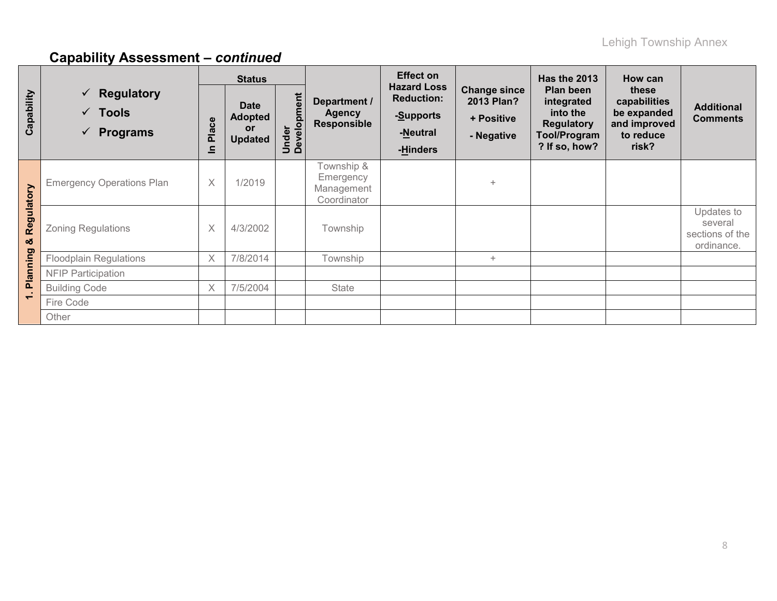|                 |                                                                        | <b>Status</b>         |                                                       |                      |                                                      | <b>Effect on</b>                                                             |                                                               | <b>Has the 2013</b>                                                                              | How can                                                                    |                                                        |
|-----------------|------------------------------------------------------------------------|-----------------------|-------------------------------------------------------|----------------------|------------------------------------------------------|------------------------------------------------------------------------------|---------------------------------------------------------------|--------------------------------------------------------------------------------------------------|----------------------------------------------------------------------------|--------------------------------------------------------|
| Capability      | $\checkmark$ Regulatory<br>$\checkmark$ Tools<br>$\checkmark$ Programs | Place<br>$\mathbf{a}$ | <b>Date</b><br><b>Adopted</b><br>or<br><b>Updated</b> | Under<br>Development | Department /<br><b>Agency</b><br><b>Responsible</b>  | <b>Hazard Loss</b><br><b>Reduction:</b><br>-Supports<br>-Neutral<br>-Hinders | <b>Change since</b><br>2013 Plan?<br>+ Positive<br>- Negative | Plan been<br>integrated<br>into the<br><b>Regulatory</b><br><b>Tool/Program</b><br>? If so, how? | these<br>capabilities<br>be expanded<br>and improved<br>to reduce<br>risk? | <b>Additional</b><br><b>Comments</b>                   |
| Regulatory<br>ೲ | <b>Emergency Operations Plan</b>                                       | $\times$              | 1/2019                                                |                      | Fownship &<br>Emergency<br>Management<br>Coordinator |                                                                              | $\ddot{}$                                                     |                                                                                                  |                                                                            |                                                        |
|                 | <b>Zoning Regulations</b>                                              | X                     | 4/3/2002                                              |                      | Township                                             |                                                                              |                                                               |                                                                                                  |                                                                            | Updates to<br>several<br>sections of the<br>ordinance. |
| <b>Planning</b> | <b>Floodplain Regulations</b>                                          | $\times$              | 7/8/2014                                              |                      | Township                                             |                                                                              | $\ddot{}$                                                     |                                                                                                  |                                                                            |                                                        |
|                 | <b>NFIP Participation</b>                                              |                       |                                                       |                      |                                                      |                                                                              |                                                               |                                                                                                  |                                                                            |                                                        |
|                 | <b>Building Code</b>                                                   | $\times$              | 7/5/2004                                              |                      | State                                                |                                                                              |                                                               |                                                                                                  |                                                                            |                                                        |
| $\div$          | Fire Code                                                              |                       |                                                       |                      |                                                      |                                                                              |                                                               |                                                                                                  |                                                                            |                                                        |
|                 | Other                                                                  |                       |                                                       |                      |                                                      |                                                                              |                                                               |                                                                                                  |                                                                            |                                                        |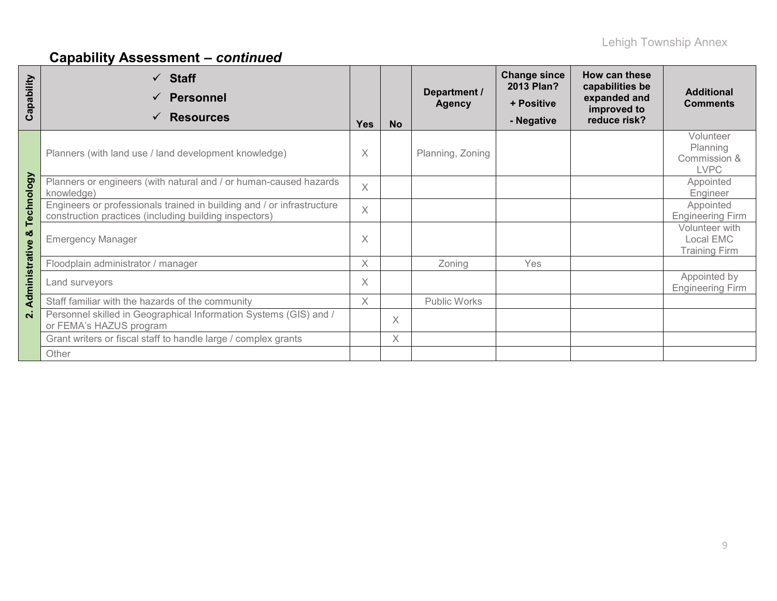| apability<br>ပ     | $\checkmark$ Staff<br><b>Personnel</b><br>$\checkmark$<br><b>Resources</b><br>✓                                                  | <b>Yes</b> | <b>No</b> | Department /<br><b>Agency</b> | <b>Change since</b><br>2013 Plan?<br>+ Positive<br>- Negative | How can these<br>capabilities be<br>expanded and<br>improved to<br>reduce risk? | <b>Additional</b><br><b>Comments</b>                 |
|--------------------|----------------------------------------------------------------------------------------------------------------------------------|------------|-----------|-------------------------------|---------------------------------------------------------------|---------------------------------------------------------------------------------|------------------------------------------------------|
|                    | Planners (with land use / land development knowledge)                                                                            |            |           | Planning, Zoning              |                                                               |                                                                                 | Volunteer<br>Planning<br>Commission &<br><b>LVPC</b> |
|                    | Planners or engineers (with natural and / or human-caused hazards<br>knowledge)                                                  | $\times$   |           |                               |                                                               |                                                                                 | Appointed<br>Engineer                                |
| Technology         | Engineers or professionals trained in building and / or infrastructure<br>construction practices (including building inspectors) | $\times$   |           |                               |                                                               |                                                                                 | Appointed<br><b>Engineering Firm</b>                 |
| ×                  | <b>Emergency Manager</b>                                                                                                         | Χ          |           |                               |                                                               |                                                                                 | Volunteer with<br>Local EMC<br><b>Training Firm</b>  |
|                    | Floodplain administrator / manager                                                                                               | X.         |           | Zoning                        | <b>Yes</b>                                                    |                                                                                 |                                                      |
| Administrative     | Land surveyors                                                                                                                   |            |           |                               |                                                               |                                                                                 | Appointed by<br><b>Engineering Firm</b>              |
|                    | Staff familiar with the hazards of the community                                                                                 | $\times$   |           | Public Works                  |                                                               |                                                                                 |                                                      |
| $\dot{\mathbf{N}}$ | Personnel skilled in Geographical Information Systems (GIS) and /<br>or FEMA's HAZUS program                                     |            | X         |                               |                                                               |                                                                                 |                                                      |
|                    | Grant writers or fiscal staff to handle large / complex grants                                                                   |            | X         |                               |                                                               |                                                                                 |                                                      |
|                    | Other                                                                                                                            |            |           |                               |                                                               |                                                                                 |                                                      |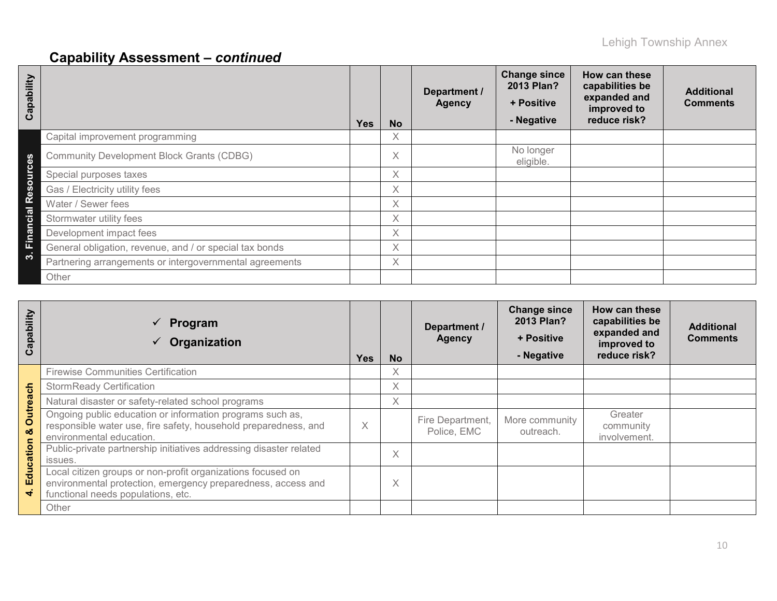| Capability                  |                                                         | <b>Yes</b> | <b>No</b> | Department /<br><b>Agency</b> | <b>Change since</b><br>2013 Plan?<br>+ Positive<br>- Negative | How can these<br>capabilities be<br>expanded and<br>improved to<br>reduce risk? | <b>Additional</b><br><b>Comments</b> |
|-----------------------------|---------------------------------------------------------|------------|-----------|-------------------------------|---------------------------------------------------------------|---------------------------------------------------------------------------------|--------------------------------------|
|                             | Capital improvement programming                         |            | X         |                               |                                                               |                                                                                 |                                      |
| ഗ<br>o                      | <b>Community Development Block Grants (CDBG)</b>        |            | $\times$  |                               | No longer<br>eligible.                                        |                                                                                 |                                      |
| Б                           | Special purposes taxes                                  |            | X         |                               |                                                               |                                                                                 |                                      |
| $\Phi$                      | Gas / Electricity utility fees                          |            | Χ         |                               |                                                               |                                                                                 |                                      |
| <u>ስረ</u><br>$\overline{5}$ | Water / Sewer fees                                      |            | Χ         |                               |                                                               |                                                                                 |                                      |
| ठ                           | Stormwater utility fees                                 |            | X         |                               |                                                               |                                                                                 |                                      |
| Fina                        | Development impact fees                                 |            | Χ         |                               |                                                               |                                                                                 |                                      |
|                             | General obligation, revenue, and / or special tax bonds |            | Χ         |                               |                                                               |                                                                                 |                                      |
| ∾                           | Partnering arrangements or intergovernmental agreements |            | Χ         |                               |                                                               |                                                                                 |                                      |
|                             | Other                                                   |            |           |                               |                                                               |                                                                                 |                                      |

| Capability                         | Program<br>$\checkmark$<br>Organization                                                                                                                           | <b>Yes</b> | <b>No</b> | Department /<br><b>Agency</b>   | <b>Change since</b><br>2013 Plan?<br>+ Positive<br>- Negative | How can these<br>capabilities be<br>expanded and<br>improved to<br>reduce risk? | <b>Additional</b><br><b>Comments</b> |
|------------------------------------|-------------------------------------------------------------------------------------------------------------------------------------------------------------------|------------|-----------|---------------------------------|---------------------------------------------------------------|---------------------------------------------------------------------------------|--------------------------------------|
|                                    | <b>Firewise Communities Certification</b>                                                                                                                         |            | X         |                                 |                                                               |                                                                                 |                                      |
|                                    | <b>StormReady Certification</b>                                                                                                                                   |            | X         |                                 |                                                               |                                                                                 |                                      |
|                                    | Natural disaster or safety-related school programs                                                                                                                |            | Χ         |                                 |                                                               |                                                                                 |                                      |
| <b>Outreach</b><br>οð<br>Education | Ongoing public education or information programs such as,<br>responsible water use, fire safety, household preparedness, and<br>environmental education.          | X          |           | Fire Department,<br>Police, EMC | More community<br>outreach.                                   | Greater<br>community<br>involvement.                                            |                                      |
|                                    | Public-private partnership initiatives addressing disaster related<br>issues.                                                                                     |            | X         |                                 |                                                               |                                                                                 |                                      |
|                                    | Local citizen groups or non-profit organizations focused on<br>environmental protection, emergency preparedness, access and<br>functional needs populations, etc. |            | X         |                                 |                                                               |                                                                                 |                                      |
|                                    | Other                                                                                                                                                             |            |           |                                 |                                                               |                                                                                 |                                      |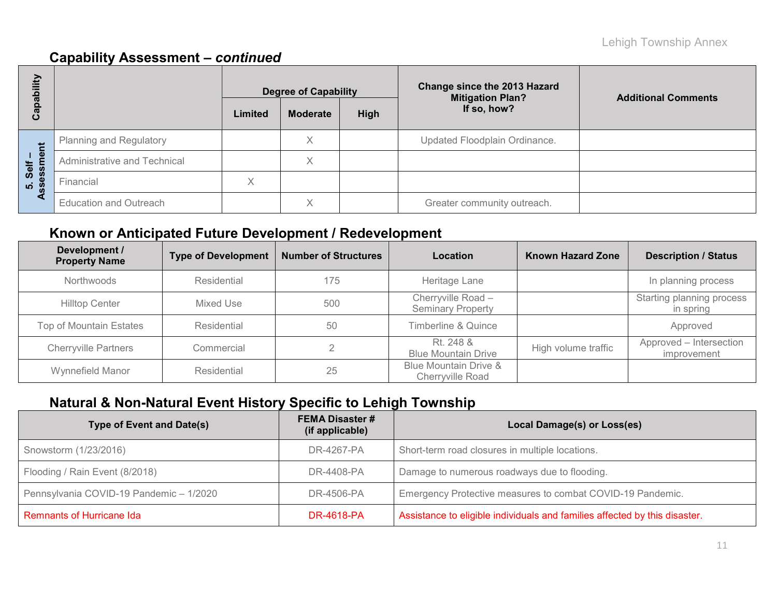| ubility          |                               | <b>Degree of Capability</b> |                 |      | <b>Change since the 2013 Hazard</b><br><b>Mitigation Plan?</b> | <b>Additional Comments</b> |
|------------------|-------------------------------|-----------------------------|-----------------|------|----------------------------------------------------------------|----------------------------|
| ga<br>ပဳ         |                               | Limited                     | <b>Moderate</b> | High | If so, how?                                                    |                            |
| Ĕ                | Planning and Regulatory       |                             | Χ               |      | Updated Floodplain Ordinance.                                  |                            |
| Self –<br>sssmer | Administrative and Technical  |                             | ∧               |      |                                                                |                            |
| 5. Sel           | Financial                     | Χ                           |                 |      |                                                                |                            |
|                  | <b>Education and Outreach</b> |                             | ∧               |      | Greater community outreach.                                    |                            |

### **Known or Anticipated Future Development / Redevelopment**

| Development /<br><b>Property Name</b> | <b>Type of Development</b> | <b>Number of Structures</b> | Location                                       | <b>Known Hazard Zone</b> | <b>Description / Status</b>            |
|---------------------------------------|----------------------------|-----------------------------|------------------------------------------------|--------------------------|----------------------------------------|
| Northwoods                            | Residential                | 175                         | Heritage Lane                                  |                          | In planning process                    |
| <b>Hilltop Center</b>                 | Mixed Use                  | 500                         | Cherryville Road -<br><b>Seminary Property</b> |                          | Starting planning process<br>in spring |
| Top of Mountain Estates               | Residential                | 50                          | Timberline & Quince                            |                          | Approved                               |
| <b>Cherryville Partners</b>           | Commercial                 |                             | Rt. 248 &<br><b>Blue Mountain Drive</b>        | High volume traffic      | Approved - Intersection<br>improvement |
| Wynnefield Manor                      | Residential                | 25                          | Blue Mountain Drive &<br>Cherryville Road      |                          |                                        |

# **Natural & Non-Natural Event History Specific to Lehigh Township**

| <b>Type of Event and Date(s)</b>        | <b>FEMA Disaster #</b><br>(if applicable) | Local Damage(s) or Loss(es)                                                |
|-----------------------------------------|-------------------------------------------|----------------------------------------------------------------------------|
| Snowstorm (1/23/2016)                   | DR-4267-PA                                | Short-term road closures in multiple locations.                            |
| Flooding / Rain Event (8/2018)          | DR-4408-PA                                | Damage to numerous roadways due to flooding.                               |
| Pennsylvania COVID-19 Pandemic - 1/2020 | DR-4506-PA                                | Emergency Protective measures to combat COVID-19 Pandemic.                 |
| <b>Remnants of Hurricane Ida</b>        | DR-4618-PA                                | Assistance to eligible individuals and families affected by this disaster. |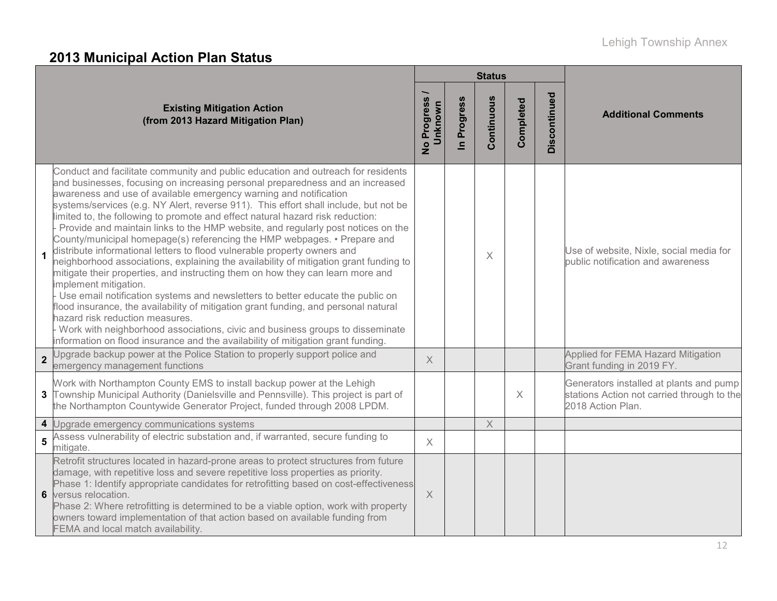# **2013 Municipal Action Plan Status**

|                         |                                                                                                                                                                                                                                                                                                                                                                                                                                                                                                                                                                                                                                                                                                                                                                                                                                                                                                                                                                                                                                                                                                                                                                                                                                                   | <b>Status</b>          |                            |             |           |              |                                                                                                            |
|-------------------------|---------------------------------------------------------------------------------------------------------------------------------------------------------------------------------------------------------------------------------------------------------------------------------------------------------------------------------------------------------------------------------------------------------------------------------------------------------------------------------------------------------------------------------------------------------------------------------------------------------------------------------------------------------------------------------------------------------------------------------------------------------------------------------------------------------------------------------------------------------------------------------------------------------------------------------------------------------------------------------------------------------------------------------------------------------------------------------------------------------------------------------------------------------------------------------------------------------------------------------------------------|------------------------|----------------------------|-------------|-----------|--------------|------------------------------------------------------------------------------------------------------------|
|                         | <b>Existing Mitigation Action</b><br>(from 2013 Hazard Mitigation Plan)                                                                                                                                                                                                                                                                                                                                                                                                                                                                                                                                                                                                                                                                                                                                                                                                                                                                                                                                                                                                                                                                                                                                                                           | No Progress<br>Unknown | Progress<br>$\overline{a}$ | Continuous  | Completed | Discontinued | <b>Additional Comments</b>                                                                                 |
| 1                       | Conduct and facilitate community and public education and outreach for residents<br>and businesses, focusing on increasing personal preparedness and an increased<br>awareness and use of available emergency warning and notification<br>systems/services (e.g. NY Alert, reverse 911). This effort shall include, but not be<br>limited to, the following to promote and effect natural hazard risk reduction:<br>Provide and maintain links to the HMP website, and regularly post notices on the<br>County/municipal homepage(s) referencing the HMP webpages. • Prepare and<br>distribute informational letters to flood vulnerable property owners and<br>neighborhood associations, explaining the availability of mitigation grant funding to<br>mitigate their properties, and instructing them on how they can learn more and<br>implement mitigation.<br>Use email notification systems and newsletters to better educate the public on<br>flood insurance, the availability of mitigation grant funding, and personal natural<br>hazard risk reduction measures.<br>Work with neighborhood associations, civic and business groups to disseminate<br>information on flood insurance and the availability of mitigation grant funding. |                        |                            | X           |           |              | Use of website, Nixle, social media for<br>public notification and awareness                               |
| $\overline{2}$          | Upgrade backup power at the Police Station to properly support police and<br>emergency management functions                                                                                                                                                                                                                                                                                                                                                                                                                                                                                                                                                                                                                                                                                                                                                                                                                                                                                                                                                                                                                                                                                                                                       | $\times$               |                            |             |           |              | Applied for FEMA Hazard Mitigation<br>Grant funding in 2019 FY.                                            |
|                         | Work with Northampton County EMS to install backup power at the Lehigh<br>3 Township Municipal Authority (Danielsville and Pennsville). This project is part of<br>the Northampton Countywide Generator Project, funded through 2008 LPDM.                                                                                                                                                                                                                                                                                                                                                                                                                                                                                                                                                                                                                                                                                                                                                                                                                                                                                                                                                                                                        |                        |                            |             | X         |              | Generators installed at plants and pump<br>stations Action not carried through to the<br>2018 Action Plan. |
| $\overline{\mathbf{4}}$ | Upgrade emergency communications systems                                                                                                                                                                                                                                                                                                                                                                                                                                                                                                                                                                                                                                                                                                                                                                                                                                                                                                                                                                                                                                                                                                                                                                                                          |                        |                            | $\mathsf X$ |           |              |                                                                                                            |
| $\overline{5}$          | Assess vulnerability of electric substation and, if warranted, secure funding to<br>mitigate.                                                                                                                                                                                                                                                                                                                                                                                                                                                                                                                                                                                                                                                                                                                                                                                                                                                                                                                                                                                                                                                                                                                                                     | $\times$               |                            |             |           |              |                                                                                                            |
| $6\phantom{1}$          | Retrofit structures located in hazard-prone areas to protect structures from future<br>damage, with repetitive loss and severe repetitive loss properties as priority.<br>Phase 1: Identify appropriate candidates for retrofitting based on cost-effectiveness<br>versus relocation.<br>Phase 2: Where retrofitting is determined to be a viable option, work with property<br>owners toward implementation of that action based on available funding from<br>FEMA and local match availability.                                                                                                                                                                                                                                                                                                                                                                                                                                                                                                                                                                                                                                                                                                                                                 | $\times$               |                            |             |           |              |                                                                                                            |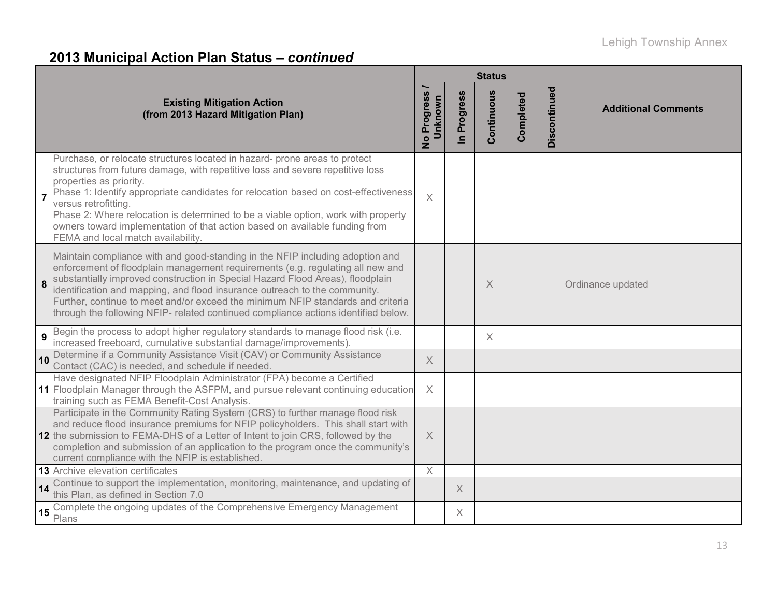# **2013 Municipal Action Plan Status –** *continued*

|                |                                                                                                                                                                                                                                                                                                                                                                                                                                                                                                                  | <b>Status</b>          |                                     |            |           |              |                            |
|----------------|------------------------------------------------------------------------------------------------------------------------------------------------------------------------------------------------------------------------------------------------------------------------------------------------------------------------------------------------------------------------------------------------------------------------------------------------------------------------------------------------------------------|------------------------|-------------------------------------|------------|-----------|--------------|----------------------------|
|                | <b>Existing Mitigation Action</b><br>(from 2013 Hazard Mitigation Plan)                                                                                                                                                                                                                                                                                                                                                                                                                                          | No Progress<br>Unknown | Progress<br>$\overline{\mathbf{z}}$ | Continuous | Completed | Discontinued | <b>Additional Comments</b> |
| $\overline{7}$ | Purchase, or relocate structures located in hazard- prone areas to protect<br>structures from future damage, with repetitive loss and severe repetitive loss<br>properties as priority.<br>Phase 1: Identify appropriate candidates for relocation based on cost-effectiveness<br>versus retrofitting.<br>Phase 2: Where relocation is determined to be a viable option, work with property<br>owners toward implementation of that action based on available funding from<br>FEMA and local match availability. | $\times$               |                                     |            |           |              |                            |
| 8              | Maintain compliance with and good-standing in the NFIP including adoption and<br>enforcement of floodplain management requirements (e.g. regulating all new and<br>substantially improved construction in Special Hazard Flood Areas), floodplain<br>identification and mapping, and flood insurance outreach to the community.<br>Further, continue to meet and/or exceed the minimum NFIP standards and criteria<br>through the following NFIP- related continued compliance actions identified below.         |                        |                                     | X          |           |              | Ordinance updated          |
| 9              | Begin the process to adopt higher regulatory standards to manage flood risk (i.e.<br>increased freeboard, cumulative substantial damage/improvements).                                                                                                                                                                                                                                                                                                                                                           |                        |                                     | $\times$   |           |              |                            |
| 10             | Determine if a Community Assistance Visit (CAV) or Community Assistance<br>Contact (CAC) is needed, and schedule if needed.                                                                                                                                                                                                                                                                                                                                                                                      | $\times$               |                                     |            |           |              |                            |
|                | Have designated NFIP Floodplain Administrator (FPA) become a Certified<br>11 Floodplain Manager through the ASFPM, and pursue relevant continuing education<br>training such as FEMA Benefit-Cost Analysis.                                                                                                                                                                                                                                                                                                      | X                      |                                     |            |           |              |                            |
|                | Participate in the Community Rating System (CRS) to further manage flood risk<br>and reduce flood insurance premiums for NFIP policyholders. This shall start with<br>12 the submission to FEMA-DHS of a Letter of Intent to join CRS, followed by the<br>completion and submission of an application to the program once the community's<br>current compliance with the NFIP is established                                                                                                                     | $\times$               |                                     |            |           |              |                            |
|                | <b>13</b> Archive elevation certificates                                                                                                                                                                                                                                                                                                                                                                                                                                                                         | $\times$               |                                     |            |           |              |                            |
| 14             | Continue to support the implementation, monitoring, maintenance, and updating of<br>this Plan, as defined in Section 7.0                                                                                                                                                                                                                                                                                                                                                                                         |                        | $\times$                            |            |           |              |                            |
| 15             | Complete the ongoing updates of the Comprehensive Emergency Management<br>Plans                                                                                                                                                                                                                                                                                                                                                                                                                                  |                        | $\times$                            |            |           |              |                            |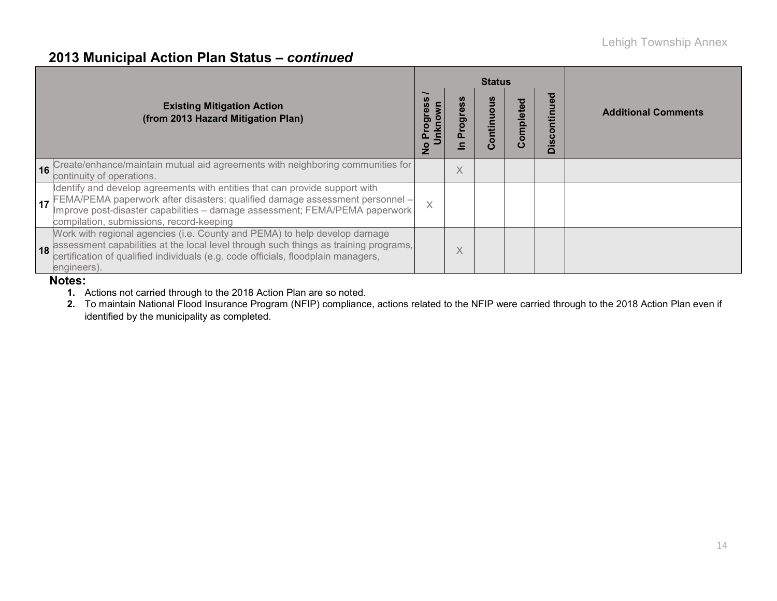### **2013 Municipal Action Plan Status –** *continued*

|                                                                                                                                                                                                                                                                                           |                                      |          | <b>Status</b>              |                   |                         |                            |
|-------------------------------------------------------------------------------------------------------------------------------------------------------------------------------------------------------------------------------------------------------------------------------------------|--------------------------------------|----------|----------------------------|-------------------|-------------------------|----------------------------|
| <b>Existing Mitigation Action</b><br>(from 2013 Hazard Mitigation Plan)                                                                                                                                                                                                                   | Jnknown<br>ັບ<br>ວັ<br>$\frac{1}{2}$ | σ.       | ntinuo<br>ō<br>$\mathbf C$ | ਹ<br>omplete<br>Ŏ | ਠ<br><b>Discontinue</b> | <b>Additional Comments</b> |
| 16 Create/enhance/maintain mutual aid agreements with neighboring communities for<br>continuity of operations.                                                                                                                                                                            |                                      | $\times$ |                            |                   |                         |                            |
| Identify and develop agreements with entities that can provide support with<br>17 FEMA/PEMA paperwork after disasters; qualified damage assessment personnel –<br>Inprove post-disaster capabilities – damage assessment; FEMA/PEMA paperwork<br>compilation, submissions, record-keeping | $\times$                             |          |                            |                   |                         |                            |
| Work with regional agencies (i.e. County and PEMA) to help develop damage<br>18 assessment capabilities at the local level through such things as training programs,<br>engineers).                                                                                                       |                                      | X        |                            |                   |                         |                            |

#### **Notes:**

**1.** Actions not carried through to the 2018 Action Plan are so noted.

**2.** To maintain National Flood Insurance Program (NFIP) compliance, actions related to the NFIP were carried through to the 2018 Action Plan even if identified by the municipality as completed.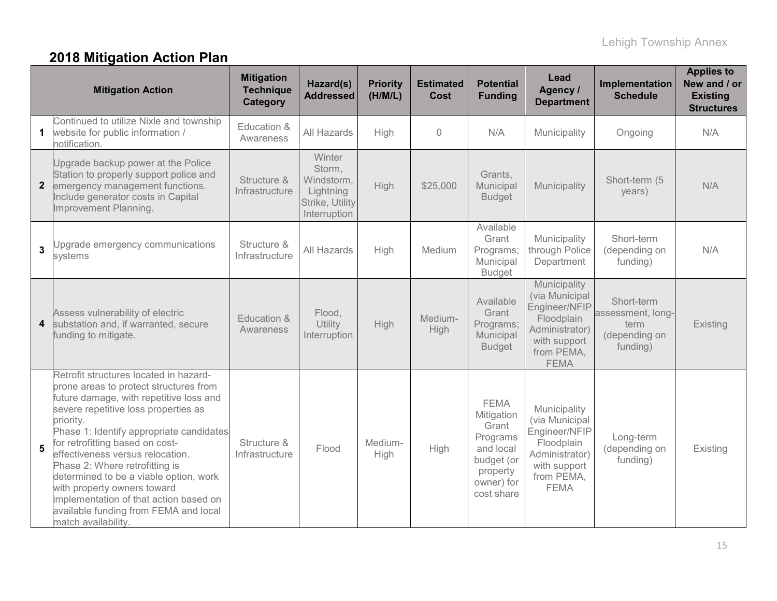# **2018 Mitigation Action Plan**

|                         | <b>Mitigation Action</b>                                                                                                                                                                                                                                                                                                                                                                                                                                                                                                 | <b>Mitigation</b><br><b>Technique</b><br><b>Category</b> | Hazard(s)<br><b>Addressed</b>                                                  | <b>Priority</b><br>(H/M/L) | <b>Estimated</b><br>Cost | <b>Potential</b><br><b>Funding</b>                                                                                | Lead<br>Agency /<br><b>Department</b>                                                                                        | Implementation<br><b>Schedule</b>                                    | <b>Applies to</b><br>New and / or<br><b>Existing</b><br><b>Structures</b> |
|-------------------------|--------------------------------------------------------------------------------------------------------------------------------------------------------------------------------------------------------------------------------------------------------------------------------------------------------------------------------------------------------------------------------------------------------------------------------------------------------------------------------------------------------------------------|----------------------------------------------------------|--------------------------------------------------------------------------------|----------------------------|--------------------------|-------------------------------------------------------------------------------------------------------------------|------------------------------------------------------------------------------------------------------------------------------|----------------------------------------------------------------------|---------------------------------------------------------------------------|
|                         | Continued to utilize Nixle and township<br>website for public information /<br>notification.                                                                                                                                                                                                                                                                                                                                                                                                                             | Education &<br>Awareness                                 | All Hazards                                                                    | High                       | $\sqrt{a}$               | N/A                                                                                                               | Municipality                                                                                                                 | Ongoing                                                              | N/A                                                                       |
|                         | Upgrade backup power at the Police<br>Station to properly support police and<br><b>2</b> emergency management functions.<br>Include generator costs in Capital<br>Improvement Planning.                                                                                                                                                                                                                                                                                                                                  | Structure &<br>Infrastructure                            | Winter<br>Storm,<br>Windstorm,<br>Lightning<br>Strike, Utility<br>Interruption | High                       | \$25,000                 | Grants,<br>Municipal<br><b>Budget</b>                                                                             | Municipality                                                                                                                 | Short-term (5<br>years)                                              | N/A                                                                       |
| $\mathbf{3}$            | Upgrade emergency communications<br>systems                                                                                                                                                                                                                                                                                                                                                                                                                                                                              | Structure &<br>Infrastructure                            | All Hazards                                                                    | High                       | Medium                   | Available<br>Grant<br>Programs;<br>Municipal<br><b>Budget</b>                                                     | Municipality<br>through Police<br>Department                                                                                 | Short-term<br>(depending on<br>funding)                              | N/A                                                                       |
| $\overline{\mathbf{4}}$ | Assess vulnerability of electric<br>substation and, if warranted, secure<br>funding to mitigate.                                                                                                                                                                                                                                                                                                                                                                                                                         | Education &<br>Awareness                                 | Flood,<br>Utility<br>Interruption                                              | High                       | Medium-<br><b>High</b>   | Available<br>Grant<br>Programs;<br>Municipal<br><b>Budget</b>                                                     | Municipality<br>(via Municipal<br>Engineer/NFIP<br>Floodplain<br>Administrator)<br>with support<br>from PEMA,<br><b>FEMA</b> | Short-term<br>assessment, long-<br>term<br>(depending on<br>funding) | Existing                                                                  |
| 5                       | Retrofit structures located in hazard-<br>prone areas to protect structures from<br>future damage, with repetitive loss and<br>severe repetitive loss properties as<br>priority.<br>Phase 1: Identify appropriate candidates<br>for retrofitting based on cost-<br>effectiveness versus relocation.<br>Phase 2: Where retrofitting is<br>determined to be a viable option, work<br>with property owners toward<br>implementation of that action based on<br>available funding from FEMA and local<br>match availability. | Structure &<br>Infrastructure                            | Flood                                                                          | Medium-<br>High            | High                     | <b>FEMA</b><br>Mitigation<br>Grant<br>Programs<br>and local<br>budget (or<br>property<br>owner) for<br>cost share | Municipality<br>(via Municipal<br>Engineer/NFIP<br>Floodplain<br>Administrator)<br>with support<br>from PEMA,<br><b>FEMA</b> | Long-term<br>(depending on<br>funding)                               | Existing                                                                  |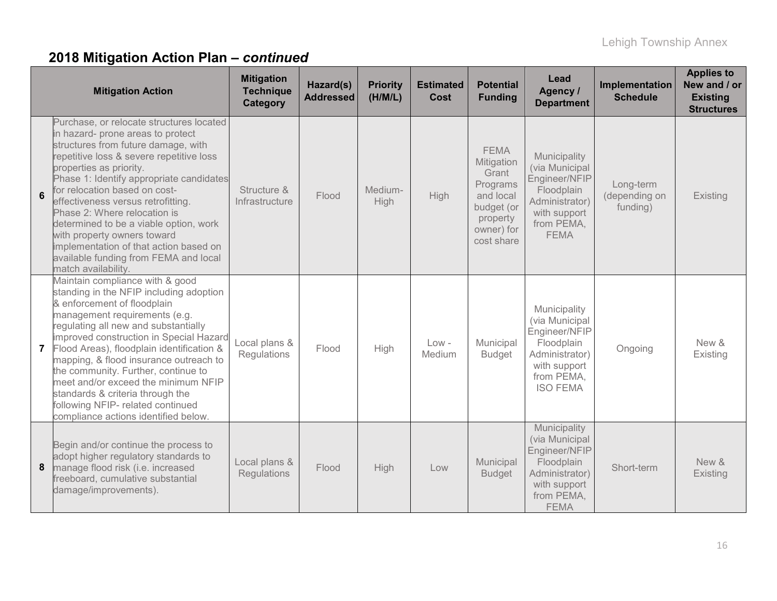|                | <b>Mitigation Action</b>                                                                                                                                                                                                                                                                                                                                                                                                                                                                                                          | <b>Mitigation</b><br><b>Technique</b><br>Category | Hazard(s)<br><b>Addressed</b> | <b>Priority</b><br>(H/M/L) | <b>Estimated</b><br><b>Cost</b> | <b>Potential</b><br><b>Funding</b>                                                                                | Lead<br>Agency /<br><b>Department</b>                                                                                            | Implementation<br><b>Schedule</b>      | <b>Applies to</b><br>New and / or<br><b>Existing</b><br><b>Structures</b> |
|----------------|-----------------------------------------------------------------------------------------------------------------------------------------------------------------------------------------------------------------------------------------------------------------------------------------------------------------------------------------------------------------------------------------------------------------------------------------------------------------------------------------------------------------------------------|---------------------------------------------------|-------------------------------|----------------------------|---------------------------------|-------------------------------------------------------------------------------------------------------------------|----------------------------------------------------------------------------------------------------------------------------------|----------------------------------------|---------------------------------------------------------------------------|
| 6              | Purchase, or relocate structures located<br>in hazard- prone areas to protect<br>structures from future damage, with<br>repetitive loss & severe repetitive loss<br>properties as priority.<br>Phase 1: Identify appropriate candidates<br>for relocation based on cost-<br>effectiveness versus retrofitting.<br>Phase 2: Where relocation is<br>determined to be a viable option, work<br>with property owners toward<br>implementation of that action based on<br>available funding from FEMA and local<br>match availability. | Structure &<br>Infrastructure                     | Flood                         | Medium-<br>High            | High                            | <b>FEMA</b><br>Mitigation<br>Grant<br>Programs<br>and local<br>budget (or<br>property<br>owner) for<br>cost share | Municipality<br>(via Municipal<br>Engineer/NFIP<br>Floodplain<br>Administrator)<br>with support<br>from PEMA,<br><b>FEMA</b>     | Long-term<br>(depending on<br>funding) | Existing                                                                  |
| $\overline{7}$ | Maintain compliance with & good<br>standing in the NFIP including adoption<br>& enforcement of floodplain<br>management requirements (e.g.<br>regulating all new and substantially<br>improved construction in Special Hazard<br>Flood Areas), floodplain identification &<br>mapping, & flood insurance outreach to<br>the community. Further, continue to<br>meet and/or exceed the minimum NFIP<br>standards & criteria through the<br>following NFIP- related continued<br>compliance actions identified below.               | Local plans &<br>Regulations                      | Flood                         | High                       | $Low -$<br>Medium               | Municipal<br><b>Budget</b>                                                                                        | Municipality<br>(via Municipal<br>Engineer/NFIP<br>Floodplain<br>Administrator)<br>with support<br>from PEMA,<br><b>ISO FEMA</b> | Ongoing                                | New &<br>Existing                                                         |
| 8              | Begin and/or continue the process to<br>adopt higher regulatory standards to<br>manage flood risk (i.e. increased<br>freeboard, cumulative substantial<br>damage/improvements).                                                                                                                                                                                                                                                                                                                                                   | Local plans &<br>Regulations                      | Flood                         | High                       | Low                             | Municipal<br><b>Budget</b>                                                                                        | Municipality<br>(via Municipal<br>Engineer/NFIP<br>Floodplain<br>Administrator)<br>with support<br>from PEMA,<br><b>FEMA</b>     | Short-term                             | New &<br><b>Existing</b>                                                  |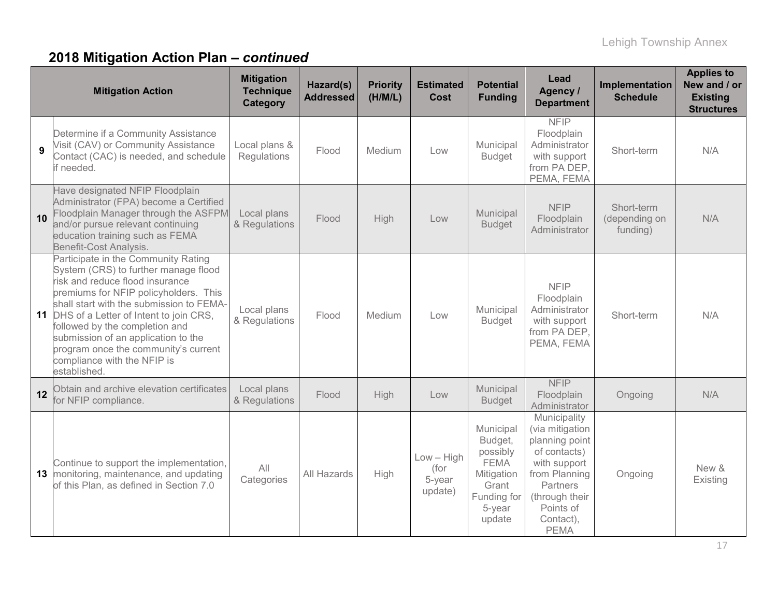|              | <b>Mitigation Action</b>                                                                                                                                                                                                                                                                                                                                                                                                | <b>Mitigation</b><br><b>Technique</b><br>Category | Hazard(s)<br><b>Addressed</b> | <b>Priority</b><br>(H/M/L) | <b>Estimated</b><br>Cost                  | <b>Potential</b><br><b>Funding</b>                                                                        | Lead<br>Agency /<br><b>Department</b>                                                                                                                                     | Implementation<br><b>Schedule</b>       | <b>Applies to</b><br>New and / or<br><b>Existing</b><br><b>Structures</b> |
|--------------|-------------------------------------------------------------------------------------------------------------------------------------------------------------------------------------------------------------------------------------------------------------------------------------------------------------------------------------------------------------------------------------------------------------------------|---------------------------------------------------|-------------------------------|----------------------------|-------------------------------------------|-----------------------------------------------------------------------------------------------------------|---------------------------------------------------------------------------------------------------------------------------------------------------------------------------|-----------------------------------------|---------------------------------------------------------------------------|
| $\mathbf{9}$ | Determine if a Community Assistance<br>Visit (CAV) or Community Assistance<br>Contact (CAC) is needed, and schedule<br>if needed.                                                                                                                                                                                                                                                                                       | Local plans &<br>Regulations                      | Flood                         | Medium                     | Low                                       | Municipal<br><b>Budget</b>                                                                                | <b>NFIP</b><br>Floodplain<br>Administrator<br>with support<br>from PA DEP,<br>PEMA, FEMA                                                                                  | Short-term                              | N/A                                                                       |
| 10           | Have designated NFIP Floodplain<br>Administrator (FPA) become a Certified<br>Floodplain Manager through the ASFPM<br>and/or pursue relevant continuing<br>education training such as FEMA<br>Benefit-Cost Analysis.                                                                                                                                                                                                     | Local plans<br>& Regulations                      | Flood                         | High                       | Low                                       | Municipal<br><b>Budget</b>                                                                                | <b>NFIP</b><br>Floodplain<br>Administrator                                                                                                                                | Short-term<br>(depending on<br>funding) | N/A                                                                       |
|              | Participate in the Community Rating<br>System (CRS) to further manage flood<br>risk and reduce flood insurance<br>premiums for NFIP policyholders. This<br>shall start with the submission to FEMA-<br><b>11</b> DHS of a Letter of Intent to join CRS,<br>followed by the completion and<br>submission of an application to the<br>program once the community's current<br>compliance with the NFIP is<br>established. | Local plans<br>& Regulations                      | Flood                         | Medium                     | Low                                       | Municipal<br><b>Budget</b>                                                                                | <b>NFIP</b><br>Floodplain<br>Administrator<br>with support<br>from PA DEP,<br>PEMA, FEMA                                                                                  | Short-term                              | N/A                                                                       |
| 12           | Obtain and archive elevation certificates<br>for NFIP compliance.                                                                                                                                                                                                                                                                                                                                                       | Local plans<br>& Regulations                      | Flood                         | High                       | Low                                       | Municipal<br><b>Budget</b>                                                                                | <b>NFIP</b><br>Floodplain<br>Administrator                                                                                                                                | Ongoing                                 | N/A                                                                       |
| 13           | Continue to support the implementation,<br>monitoring, maintenance, and updating<br>of this Plan, as defined in Section 7.0                                                                                                                                                                                                                                                                                             | All<br>Categories                                 | All Hazards                   | High                       | $Low - High$<br>(for<br>5-year<br>update) | Municipal<br>Budget,<br>possibly<br><b>FEMA</b><br>Mitigation<br>Grant<br>Funding for<br>5-year<br>update | Municipality<br>(via mitigation<br>planning point<br>of contacts)<br>with support<br>from Planning<br>Partners<br>(through their<br>Points of<br>Contact),<br><b>PEMA</b> | Ongoing                                 | New &<br>Existing                                                         |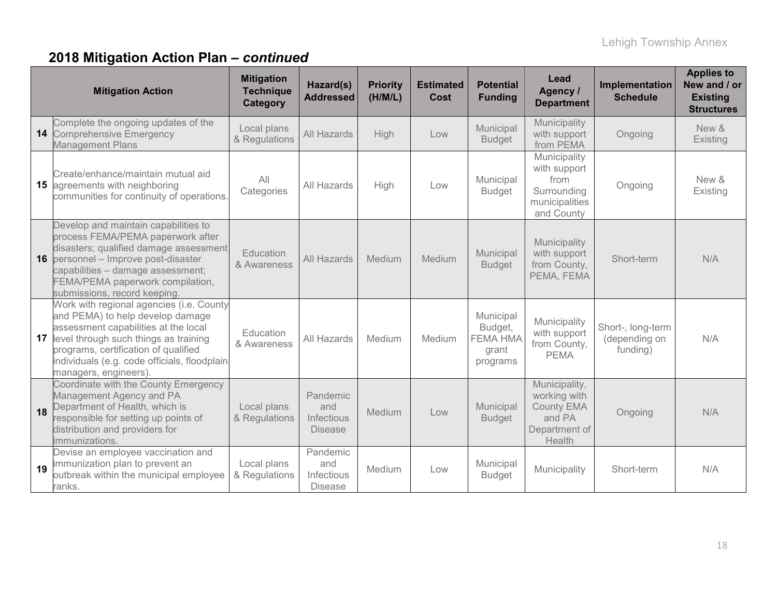|    | <b>Mitigation Action</b>                                                                                                                                                                                                                                                       | <b>Mitigation</b><br><b>Technique</b><br>Category | Hazard(s)<br><b>Addressed</b>                   | <b>Priority</b><br>(H/M/L) | <b>Estimated</b><br><b>Cost</b> | <b>Potential</b><br><b>Funding</b>                           | Lead<br>Agency /<br><b>Department</b>                                                   | Implementation<br><b>Schedule</b>              | <b>Applies to</b><br>New and / or<br><b>Existing</b><br><b>Structures</b> |
|----|--------------------------------------------------------------------------------------------------------------------------------------------------------------------------------------------------------------------------------------------------------------------------------|---------------------------------------------------|-------------------------------------------------|----------------------------|---------------------------------|--------------------------------------------------------------|-----------------------------------------------------------------------------------------|------------------------------------------------|---------------------------------------------------------------------------|
| 14 | Complete the ongoing updates of the<br><b>Comprehensive Emergency</b><br><b>Management Plans</b>                                                                                                                                                                               | Local plans<br>& Regulations                      | All Hazards                                     | High                       | Low                             | Municipal<br><b>Budget</b>                                   | Municipality<br>with support<br>from PEMA                                               | Ongoing                                        | New &<br>Existing                                                         |
| 15 | Create/enhance/maintain mutual aid<br>agreements with neighboring<br>communities for continuity of operations.                                                                                                                                                                 | All<br>Categories                                 | All Hazards                                     | High                       | Low                             | Municipal<br><b>Budget</b>                                   | Municipality<br>with support<br>from<br>Surrounding<br>municipalities<br>and County     | Ongoing                                        | New &<br>Existing                                                         |
| 16 | Develop and maintain capabilities to<br>process FEMA/PEMA paperwork after<br>disasters; qualified damage assessment<br>personnel - Improve post-disaster<br>capabilities - damage assessment;<br>FEMA/PEMA paperwork compilation,<br>submissions, record keeping.              | Education<br>& Awareness                          | <b>All Hazards</b>                              | Medium                     | Medium                          | Municipal<br><b>Budget</b>                                   | Municipality<br>with support<br>from County,<br>PEMA, FEMA                              | Short-term                                     | N/A                                                                       |
| 17 | Work with regional agencies (i.e. County<br>and PEMA) to help develop damage<br>assessment capabilities at the local<br>level through such things as training<br>programs, certification of qualified<br>individuals (e.g. code officials, floodplain<br>managers, engineers). | Education<br>& Awareness                          | <b>All Hazards</b>                              | Medium                     | Medium                          | Municipal<br>Budget,<br><b>FEMA HMA</b><br>grant<br>programs | Municipality<br>with support<br>from County,<br><b>PEMA</b>                             | Short-, long-term<br>(depending on<br>funding) | N/A                                                                       |
| 18 | Coordinate with the County Emergency<br>Management Agency and PA<br>Department of Health, which is<br>responsible for setting up points of<br>distribution and providers for<br>immunizations.                                                                                 | Local plans<br>& Regulations                      | Pandemic<br>and<br>Infectious<br><b>Disease</b> | Medium                     | Low                             | Municipal<br><b>Budget</b>                                   | Municipality,<br>working with<br><b>County EMA</b><br>and PA<br>Department of<br>Health | Ongoing                                        | N/A                                                                       |
| 19 | Devise an employee vaccination and<br>mmunization plan to prevent an<br>outbreak within the municipal employee<br>ranks.                                                                                                                                                       | Local plans<br>& Regulations                      | Pandemic<br>and<br>Infectious<br><b>Disease</b> | Medium                     | Low                             | Municipal<br><b>Budget</b>                                   | Municipality                                                                            | Short-term                                     | N/A                                                                       |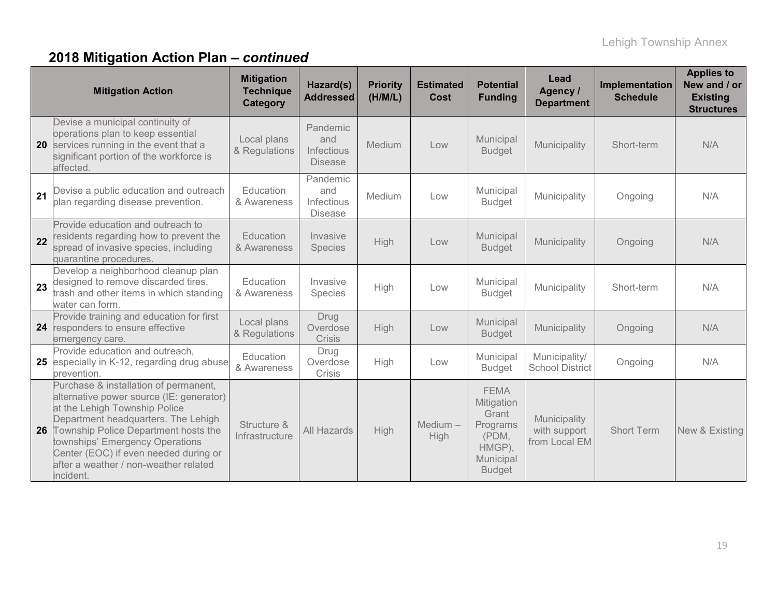|    | <b>Mitigation Action</b>                                                                                                                                                                                                                                                                                                            | <b>Mitigation</b><br><b>Technique</b><br>Category | Hazard(s)<br><b>Addressed</b>                   | <b>Priority</b><br>(H/M/L) | <b>Estimated</b><br><b>Cost</b> | <b>Potential</b><br><b>Funding</b>                                                              | Lead<br>Agency /<br><b>Department</b>         | Implementation<br><b>Schedule</b> | <b>Applies to</b><br>New and / or<br><b>Existing</b><br><b>Structures</b> |
|----|-------------------------------------------------------------------------------------------------------------------------------------------------------------------------------------------------------------------------------------------------------------------------------------------------------------------------------------|---------------------------------------------------|-------------------------------------------------|----------------------------|---------------------------------|-------------------------------------------------------------------------------------------------|-----------------------------------------------|-----------------------------------|---------------------------------------------------------------------------|
| 20 | Devise a municipal continuity of<br>operations plan to keep essential<br>services running in the event that a<br>significant portion of the workforce is<br>affected.                                                                                                                                                               | Local plans<br>& Regulations                      | Pandemic<br>and<br>Infectious<br><b>Disease</b> | Medium                     | Low                             | Municipal<br><b>Budget</b>                                                                      | Municipality                                  | Short-term                        | N/A                                                                       |
| 21 | Devise a public education and outreach<br>plan regarding disease prevention.                                                                                                                                                                                                                                                        | Education<br>& Awareness                          | Pandemic<br>and<br>Infectious<br><b>Disease</b> | Medium                     | Low                             | Municipal<br><b>Budget</b>                                                                      | Municipality                                  | Ongoing                           | N/A                                                                       |
| 22 | Provide education and outreach to<br>residents regarding how to prevent the<br>spread of invasive species, including<br>quarantine procedures.                                                                                                                                                                                      | Education<br>& Awareness                          | Invasive<br>Species                             | High                       | Low                             | Municipal<br><b>Budget</b>                                                                      | Municipality                                  | Ongoing                           | N/A                                                                       |
| 23 | Develop a neighborhood cleanup plan<br>designed to remove discarded tires,<br>trash and other items in which standing<br>water can form.                                                                                                                                                                                            | Education<br>& Awareness                          | Invasive<br>Species                             | High                       | Low                             | Municipal<br><b>Budget</b>                                                                      | Municipality                                  | Short-term                        | N/A                                                                       |
| 24 | Provide training and education for first<br>responders to ensure effective<br>emergency care.                                                                                                                                                                                                                                       | Local plans<br>& Regulations                      | Drug<br>Overdose<br><b>Crisis</b>               | High                       | Low                             | Municipal<br><b>Budget</b>                                                                      | Municipality                                  | Ongoing                           | N/A                                                                       |
| 25 | Provide education and outreach,<br>especially in K-12, regarding drug abuse<br>prevention.                                                                                                                                                                                                                                          | Education<br>& Awareness                          | Drug<br>Overdose<br>Crisis                      | High                       | Low                             | Municipal<br><b>Budget</b>                                                                      | Municipality/<br><b>School District</b>       | Ongoing                           | N/A                                                                       |
| 26 | Purchase & installation of permanent,<br>alternative power source (IE: generator)<br>at the Lehigh Township Police<br>Department headquarters. The Lehigh<br>Township Police Department hosts the<br>townships' Emergency Operations<br>Center (EOC) if even needed during or<br>after a weather / non-weather related<br>incident. | Structure &<br>Infrastructure                     | <b>All Hazards</b>                              | High                       | Medium $-$<br>High              | <b>FEMA</b><br>Mitigation<br>Grant<br>Programs<br>(PDM,<br>HMGP),<br>Municipal<br><b>Budget</b> | Municipality<br>with support<br>from Local EM | <b>Short Term</b>                 | New & Existing                                                            |